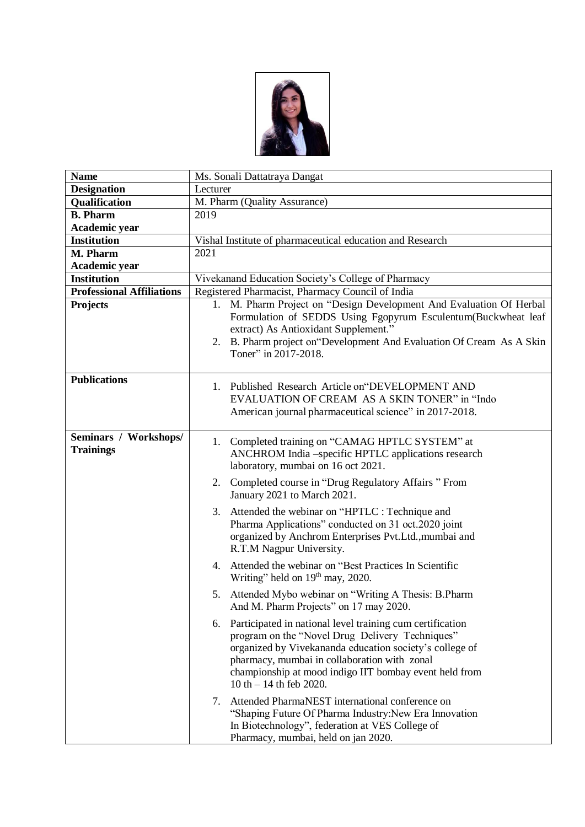

| <b>Name</b>                               | Ms. Sonali Dattatraya Dangat                                                                                                                                                                                                                                                                                      |
|-------------------------------------------|-------------------------------------------------------------------------------------------------------------------------------------------------------------------------------------------------------------------------------------------------------------------------------------------------------------------|
| <b>Designation</b>                        | Lecturer                                                                                                                                                                                                                                                                                                          |
| Qualification                             | M. Pharm (Quality Assurance)                                                                                                                                                                                                                                                                                      |
| <b>B.</b> Pharm                           | 2019                                                                                                                                                                                                                                                                                                              |
| Academic year                             |                                                                                                                                                                                                                                                                                                                   |
| Institution                               | Vishal Institute of pharmaceutical education and Research                                                                                                                                                                                                                                                         |
| M. Pharm                                  | 2021                                                                                                                                                                                                                                                                                                              |
| Academic year                             |                                                                                                                                                                                                                                                                                                                   |
| <b>Institution</b>                        | Vivekanand Education Society's College of Pharmacy                                                                                                                                                                                                                                                                |
| <b>Professional Affiliations</b>          | Registered Pharmacist, Pharmacy Council of India                                                                                                                                                                                                                                                                  |
| Projects                                  | M. Pharm Project on "Design Development And Evaluation Of Herbal<br>1.<br>Formulation of SEDDS Using Fgopyrum Esculentum(Buckwheat leaf<br>extract) As Antioxidant Supplement."<br>2. B. Pharm project on "Development And Evaluation Of Cream As A Skin<br>Toner" in 2017-2018.                                  |
| <b>Publications</b>                       | 1. Published Research Article on "DEVELOPMENT AND<br>EVALUATION OF CREAM AS A SKIN TONER" in "Indo<br>American journal pharmaceutical science" in 2017-2018.                                                                                                                                                      |
| Seminars / Workshops/<br><b>Trainings</b> | 1. Completed training on "CAMAG HPTLC SYSTEM" at<br>ANCHROM India -specific HPTLC applications research<br>laboratory, mumbai on 16 oct 2021.                                                                                                                                                                     |
|                                           | 2. Completed course in "Drug Regulatory Affairs " From<br>January 2021 to March 2021.                                                                                                                                                                                                                             |
|                                           | 3. Attended the webinar on "HPTLC : Technique and<br>Pharma Applications" conducted on 31 oct.2020 joint<br>organized by Anchrom Enterprises Pvt.Ltd., mumbai and<br>R.T.M Nagpur University.                                                                                                                     |
|                                           | 4. Attended the webinar on "Best Practices In Scientific<br>Writing" held on 19 <sup>th</sup> may, 2020.                                                                                                                                                                                                          |
|                                           | 5. Attended Mybo webinar on "Writing A Thesis: B.Pharm<br>And M. Pharm Projects" on 17 may 2020.                                                                                                                                                                                                                  |
|                                           | 6. Participated in national level training cum certification<br>program on the "Novel Drug Delivery Techniques"<br>organized by Vivekananda education society's college of<br>pharmacy, mumbai in collaboration with zonal<br>championship at mood indigo IIT bombay event held from<br>$10 th - 14 th$ feb 2020. |
|                                           | Attended PharmaNEST international conference on<br>7.<br>"Shaping Future Of Pharma Industry: New Era Innovation<br>In Biotechnology", federation at VES College of<br>Pharmacy, mumbai, held on jan 2020.                                                                                                         |